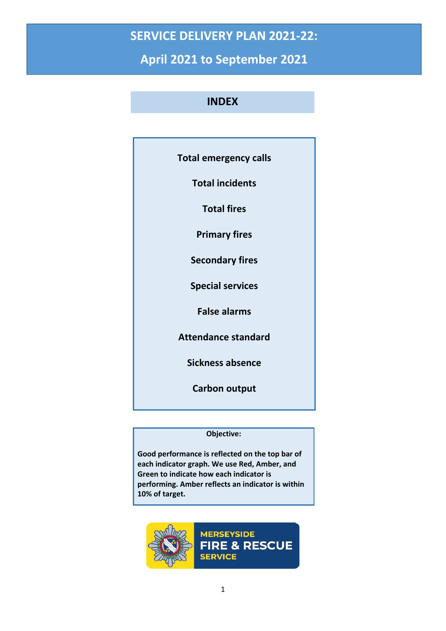## **SERVICE DELIVERY PLAN 2021-22:**

**April 2021 to September 2021**

## **INDEX**

| <b>Total emergency calls</b> |
|------------------------------|
| <b>Total incidents</b>       |
| <b>Total fires</b>           |
| <b>Primary fires</b>         |
| <b>Secondary fires</b>       |
| <b>Special services</b>      |
| <b>False alarms</b>          |
| <b>Attendance standard</b>   |
| Sickness absence             |
| <b>Carbon output</b>         |
|                              |

## **Objective:**

**Good performance is reflected on the top bar of each indicator graph. We use Red, Amber, and Green to indicate how each indicator is performing. Amber reflects an indicator is within 10% of target.**

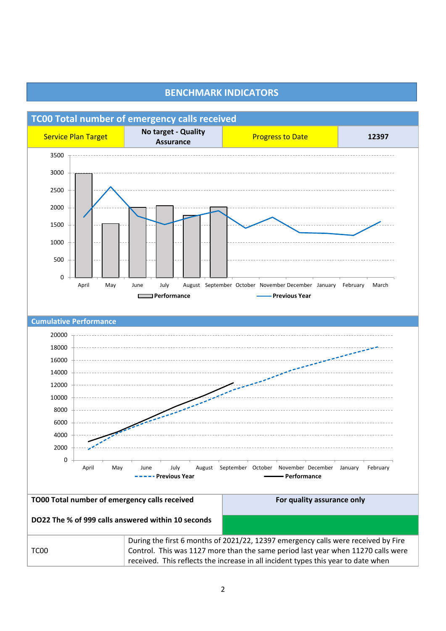

## **BENCHMARK INDICATORS**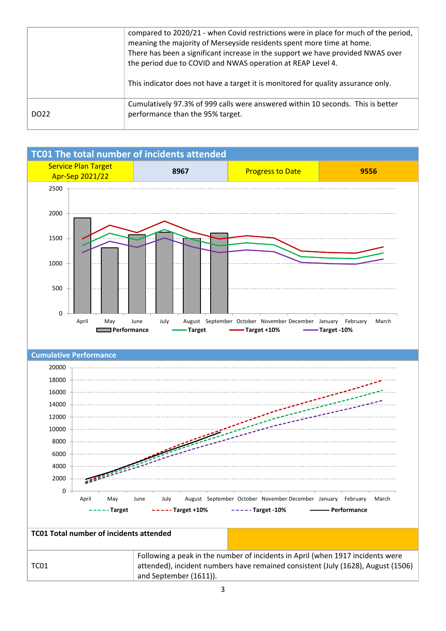|                  | compared to 2020/21 - when Covid restrictions were in place for much of the period,<br>meaning the majority of Merseyside residents spent more time at home.<br>There has been a significant increase in the support we have provided NWAS over<br>the period due to COVID and NWAS operation at REAP Level 4.<br>This indicator does not have a target it is monitored for quality assurance only. |
|------------------|-----------------------------------------------------------------------------------------------------------------------------------------------------------------------------------------------------------------------------------------------------------------------------------------------------------------------------------------------------------------------------------------------------|
| DO <sub>22</sub> | Cumulatively 97.3% of 999 calls were answered within 10 seconds. This is better<br>performance than the 95% target.                                                                                                                                                                                                                                                                                 |

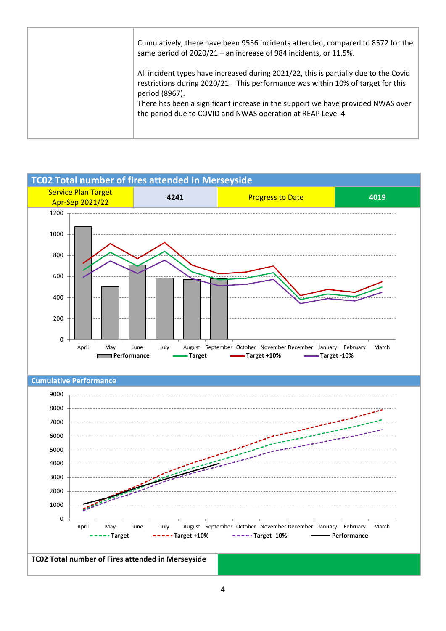| Cumulatively, there have been 9556 incidents attended, compared to 8572 for the<br>same period of 2020/21 - an increase of 984 incidents, or 11.5%.                                                                                                                          |
|------------------------------------------------------------------------------------------------------------------------------------------------------------------------------------------------------------------------------------------------------------------------------|
| All incident types have increased during 2021/22, this is partially due to the Covid<br>restrictions during 2020/21. This performance was within 10% of target for this<br>period (8967).<br>There has been a significant increase in the support we have provided NWAS over |
| the period due to COVID and NWAS operation at REAP Level 4.                                                                                                                                                                                                                  |

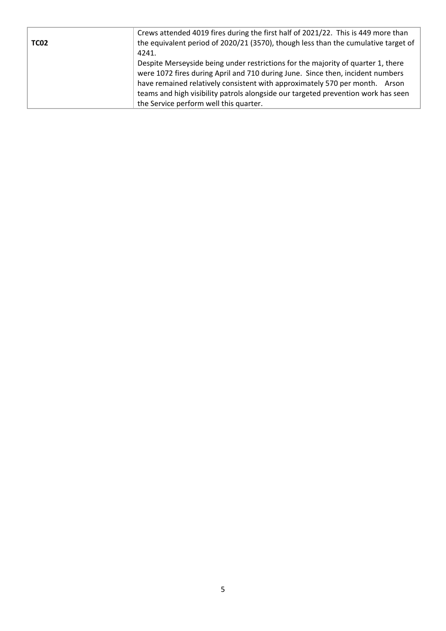| Crews attended 4019 fires during the first half of 2021/22. This is 449 more than  |
|------------------------------------------------------------------------------------|
| the equivalent period of 2020/21 (3570), though less than the cumulative target of |
| 4241.                                                                              |
| Despite Merseyside being under restrictions for the majority of quarter 1, there   |
| were 1072 fires during April and 710 during June. Since then, incident numbers     |
| have remained relatively consistent with approximately 570 per month. Arson        |
| teams and high visibility patrols alongside our targeted prevention work has seen  |
| the Service perform well this quarter.                                             |
|                                                                                    |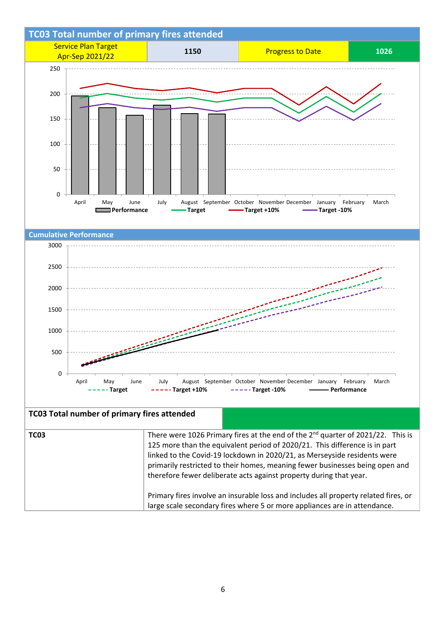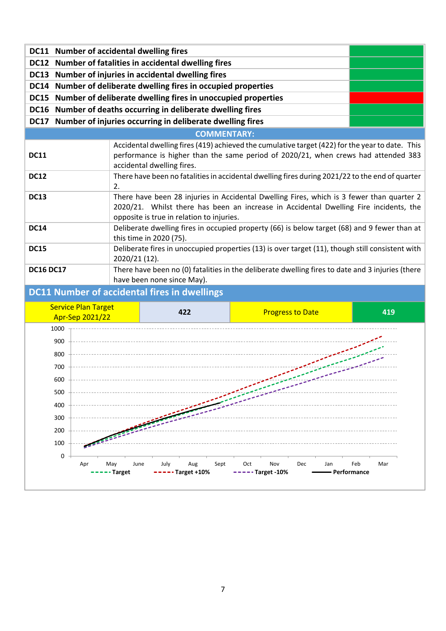|                  | DC11 Number of accidental dwelling fires             |                                                                                                                                                                                                                                 |                                                                                                                                                                                       |                             |  |
|------------------|------------------------------------------------------|---------------------------------------------------------------------------------------------------------------------------------------------------------------------------------------------------------------------------------|---------------------------------------------------------------------------------------------------------------------------------------------------------------------------------------|-----------------------------|--|
|                  |                                                      | DC12 Number of fatalities in accidental dwelling fires                                                                                                                                                                          |                                                                                                                                                                                       |                             |  |
|                  | DC13 Number of injuries in accidental dwelling fires |                                                                                                                                                                                                                                 |                                                                                                                                                                                       |                             |  |
|                  |                                                      | DC14 Number of deliberate dwelling fires in occupied properties                                                                                                                                                                 |                                                                                                                                                                                       |                             |  |
|                  |                                                      | DC15 Number of deliberate dwelling fires in unoccupied properties                                                                                                                                                               |                                                                                                                                                                                       |                             |  |
|                  |                                                      | DC16 Number of deaths occurring in deliberate dwelling fires                                                                                                                                                                    |                                                                                                                                                                                       |                             |  |
|                  |                                                      | DC17 Number of injuries occurring in deliberate dwelling fires                                                                                                                                                                  |                                                                                                                                                                                       |                             |  |
|                  |                                                      | <b>COMMENTARY:</b>                                                                                                                                                                                                              |                                                                                                                                                                                       |                             |  |
| <b>DC11</b>      |                                                      | accidental dwelling fires.                                                                                                                                                                                                      | Accidental dwelling fires (419) achieved the cumulative target (422) for the year to date. This<br>performance is higher than the same period of 2020/21, when crews had attended 383 |                             |  |
| <b>DC12</b>      | 2.                                                   | There have been no fatalities in accidental dwelling fires during 2021/22 to the end of quarter                                                                                                                                 |                                                                                                                                                                                       |                             |  |
| <b>DC13</b>      |                                                      | There have been 28 injuries in Accidental Dwelling Fires, which is 3 fewer than quarter 2<br>2020/21. Whilst there has been an increase in Accidental Dwelling Fire incidents, the<br>opposite is true in relation to injuries. |                                                                                                                                                                                       |                             |  |
| <b>DC14</b>      |                                                      | Deliberate dwelling fires in occupied property (66) is below target (68) and 9 fewer than at<br>this time in 2020 (75).                                                                                                         |                                                                                                                                                                                       |                             |  |
| <b>DC15</b>      | 2020/21 (12).                                        |                                                                                                                                                                                                                                 | Deliberate fires in unoccupied properties (13) is over target (11), though still consistent with                                                                                      |                             |  |
| <b>DC16 DC17</b> |                                                      | have been none since May).                                                                                                                                                                                                      | There have been no (0) fatalities in the deliberate dwelling fires to date and 3 injuries (there                                                                                      |                             |  |
|                  |                                                      | <b>DC11 Number of accidental fires in dwellings</b>                                                                                                                                                                             |                                                                                                                                                                                       |                             |  |
|                  | <b>Service Plan Target</b><br>Apr-Sep 2021/22        | 422                                                                                                                                                                                                                             | <b>Progress to Date</b>                                                                                                                                                               | 419                         |  |
| 1000             |                                                      |                                                                                                                                                                                                                                 |                                                                                                                                                                                       |                             |  |
| 900              |                                                      |                                                                                                                                                                                                                                 |                                                                                                                                                                                       |                             |  |
| 800              |                                                      |                                                                                                                                                                                                                                 |                                                                                                                                                                                       |                             |  |
| 700              |                                                      |                                                                                                                                                                                                                                 |                                                                                                                                                                                       |                             |  |
| 600              |                                                      |                                                                                                                                                                                                                                 | $-2$                                                                                                                                                                                  |                             |  |
| 500              |                                                      |                                                                                                                                                                                                                                 |                                                                                                                                                                                       |                             |  |
| 400              |                                                      |                                                                                                                                                                                                                                 |                                                                                                                                                                                       |                             |  |
| 300              |                                                      |                                                                                                                                                                                                                                 |                                                                                                                                                                                       |                             |  |
| 200              |                                                      |                                                                                                                                                                                                                                 |                                                                                                                                                                                       |                             |  |
| 100              |                                                      |                                                                                                                                                                                                                                 |                                                                                                                                                                                       |                             |  |
| 0                |                                                      |                                                                                                                                                                                                                                 |                                                                                                                                                                                       |                             |  |
|                  | June<br>Apr<br>May<br>-- Target                      | July<br>Aug<br>Sept<br>$---$ Target +10%                                                                                                                                                                                        | Oct<br>Nov<br>Dec<br>Jan<br>$---$ Target -10%                                                                                                                                         | Feb<br>Mar<br>- Performance |  |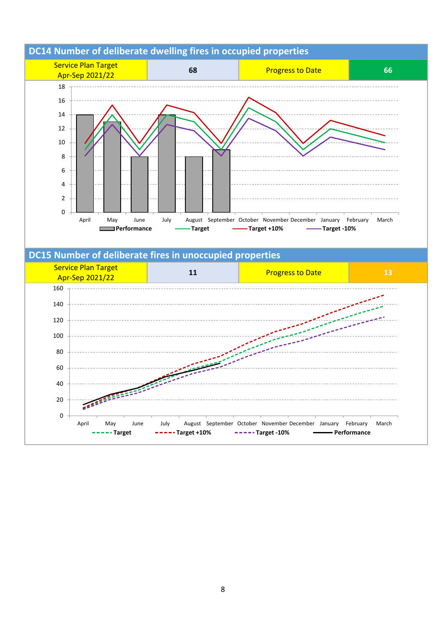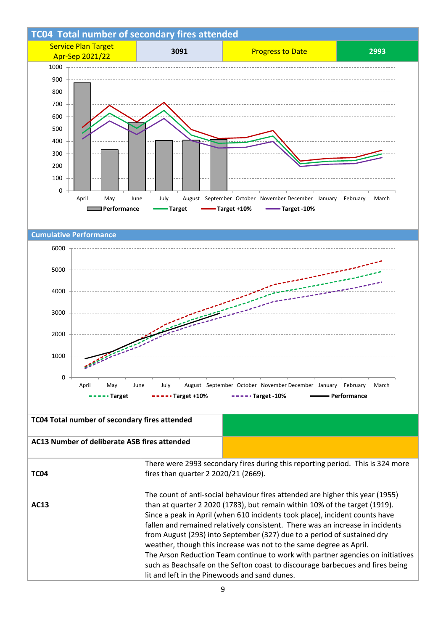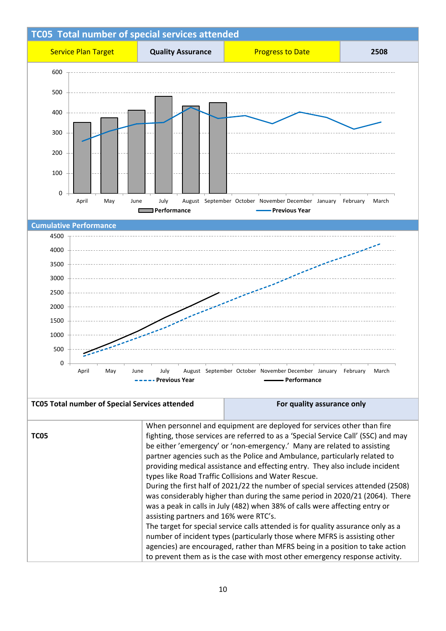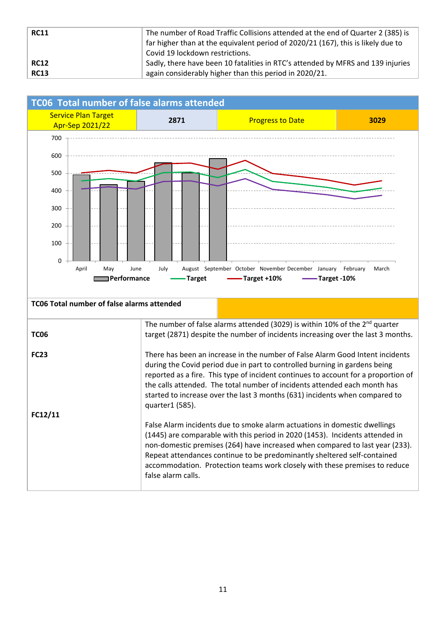| <b>RC11</b> | The number of Road Traffic Collisions attended at the end of Quarter 2 (385) is<br>far higher than at the equivalent period of 2020/21 (167), this is likely due to<br>Covid 19 lockdown restrictions. |
|-------------|--------------------------------------------------------------------------------------------------------------------------------------------------------------------------------------------------------|
| <b>RC12</b> | Sadly, there have been 10 fatalities in RTC's attended by MFRS and 139 injuries                                                                                                                        |
| <b>RC13</b> | again considerably higher than this period in 2020/21.                                                                                                                                                 |

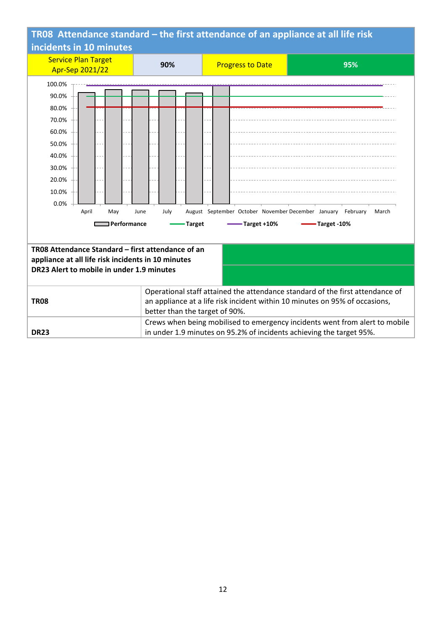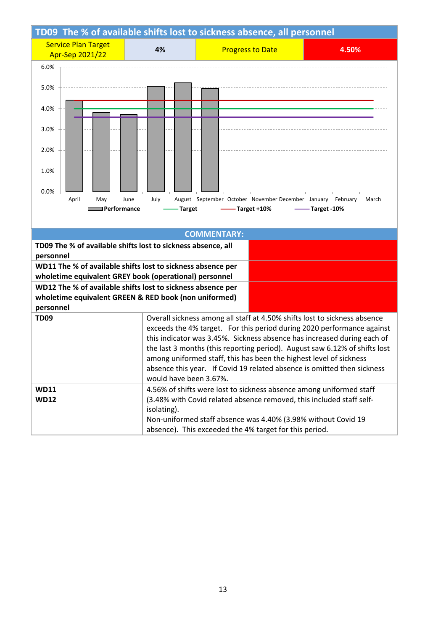| TD09 The % of available shifts lost to sickness absence, all personnel                                                |                                                                                                   |                                                                                                                                             |              |                                                                           |  |
|-----------------------------------------------------------------------------------------------------------------------|---------------------------------------------------------------------------------------------------|---------------------------------------------------------------------------------------------------------------------------------------------|--------------|---------------------------------------------------------------------------|--|
| <b>Service Plan Target</b><br>Apr-Sep 2021/22                                                                         | 4%                                                                                                | <b>Progress to Date</b>                                                                                                                     |              | 4.50%                                                                     |  |
| 6.0%                                                                                                                  |                                                                                                   |                                                                                                                                             |              |                                                                           |  |
| 5.0%                                                                                                                  |                                                                                                   |                                                                                                                                             |              |                                                                           |  |
| 4.0%                                                                                                                  |                                                                                                   |                                                                                                                                             |              |                                                                           |  |
| 3.0%                                                                                                                  |                                                                                                   |                                                                                                                                             |              |                                                                           |  |
| 2.0%                                                                                                                  |                                                                                                   |                                                                                                                                             |              |                                                                           |  |
| 1.0%                                                                                                                  |                                                                                                   |                                                                                                                                             |              |                                                                           |  |
| 0.0%                                                                                                                  |                                                                                                   |                                                                                                                                             |              |                                                                           |  |
| April<br>May<br>Performance                                                                                           | June<br>July<br>Target                                                                            | August September October November December January                                                                                          | -Target +10% | February<br>March<br>-Target -10%                                         |  |
|                                                                                                                       |                                                                                                   |                                                                                                                                             |              |                                                                           |  |
|                                                                                                                       |                                                                                                   | <b>COMMENTARY:</b>                                                                                                                          |              |                                                                           |  |
| TD09 The % of available shifts lost to sickness absence, all                                                          |                                                                                                   |                                                                                                                                             |              |                                                                           |  |
| personnel                                                                                                             |                                                                                                   |                                                                                                                                             |              |                                                                           |  |
| WD11 The % of available shifts lost to sickness absence per<br>wholetime equivalent GREY book (operational) personnel |                                                                                                   |                                                                                                                                             |              |                                                                           |  |
| WD12 The % of available shifts lost to sickness absence per                                                           |                                                                                                   |                                                                                                                                             |              |                                                                           |  |
| wholetime equivalent GREEN & RED book (non uniformed)                                                                 |                                                                                                   |                                                                                                                                             |              |                                                                           |  |
| personnel                                                                                                             |                                                                                                   |                                                                                                                                             |              |                                                                           |  |
| <b>TD09</b>                                                                                                           |                                                                                                   |                                                                                                                                             |              | Overall sickness among all staff at 4.50% shifts lost to sickness absence |  |
|                                                                                                                       | exceeds the 4% target. For this period during 2020 performance against                            |                                                                                                                                             |              |                                                                           |  |
|                                                                                                                       | this indicator was 3.45%. Sickness absence has increased during each of                           |                                                                                                                                             |              |                                                                           |  |
|                                                                                                                       | the last 3 months (this reporting period). August saw 6.12% of shifts lost                        |                                                                                                                                             |              |                                                                           |  |
| among uniformed staff, this has been the highest level of sickness                                                    |                                                                                                   |                                                                                                                                             |              |                                                                           |  |
|                                                                                                                       | absence this year. If Covid 19 related absence is omitted then sickness<br>would have been 3.67%. |                                                                                                                                             |              |                                                                           |  |
| <b>WD11</b>                                                                                                           |                                                                                                   |                                                                                                                                             |              |                                                                           |  |
| <b>WD12</b>                                                                                                           |                                                                                                   | 4.56% of shifts were lost to sickness absence among uniformed staff<br>(3.48% with Covid related absence removed, this included staff self- |              |                                                                           |  |
|                                                                                                                       | isolating).                                                                                       |                                                                                                                                             |              |                                                                           |  |
|                                                                                                                       | Non-uniformed staff absence was 4.40% (3.98% without Covid 19                                     |                                                                                                                                             |              |                                                                           |  |
| absence). This exceeded the 4% target for this period.                                                                |                                                                                                   |                                                                                                                                             |              |                                                                           |  |